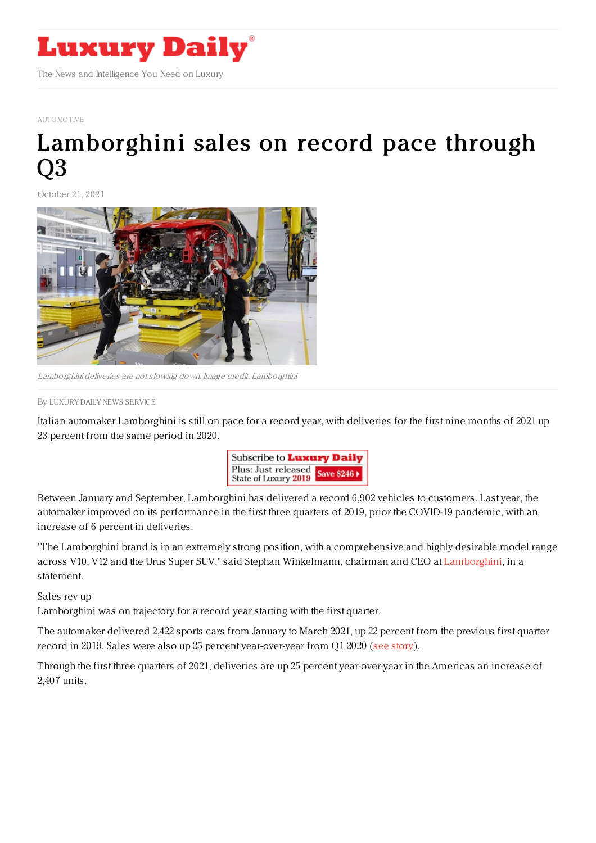

[AUTOMOTIVE](https://www.luxurydaily.com/category/sectors/automotive-industry-sectors/)

## [Lamborghini](https://www.luxurydaily.com/lamborghini-q3-2021/) sales on record pace through Q3

October 21, 2021



Lamborghini deliveries are not slowing down. Image credit: Lamborghini

By LUXURY DAILY NEWS [SERVICE](file:///author/luxury-daily-news-service)

Italian automaker Lamborghini is still on pace for a record year, with deliveries for the first nine months of 2021 up 23 percent from the same period in 2020.



Between January and September, Lamborghini has delivered a record 6,902 vehicles to customers. Last year, the automaker improved on its performance in the first three quarters of 2019, prior the COVID-19 pandemic, with an increase of 6 percent in deliveries.

"The Lamborghini brand is in an extremely strong position, with a comprehensive and highly desirable model range across V10, V12 and the Urus Super SUV," said Stephan Winkelmann, chairman and CEO at [Lamborghini](https://www.lamborghini.com/en-en), in a statement.

Sales rev up

Lamborghini was on trajectory for a record year starting with the first quarter.

The automaker delivered 2,422 sports cars from January to March 2021, up 22 percent from the previous first quarter record in 2019. Sales were also up 25 percent year-over-year from Q1 2020 (see [story](https://www.luxurydaily.com/lamborghini-q1-2021/)).

Through the first three quarters of 2021, deliveries are up 25 percent year-over-year in the Americas an increase of 2,407 units.